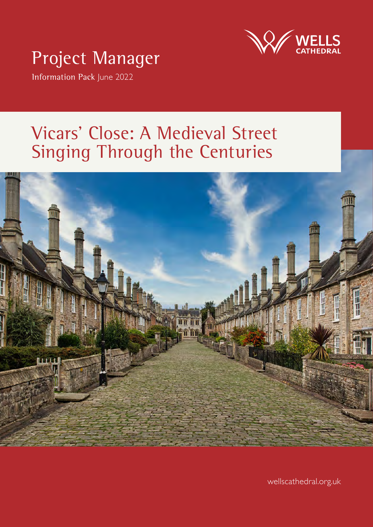

# Project Manager

Information Pack June 2022

# Vicars' Close: A Medieval Street Singing Through the Centuries



**Vicars' Close Project Manager** 1 **Information Pack June 2022** wellscathedral.org.uk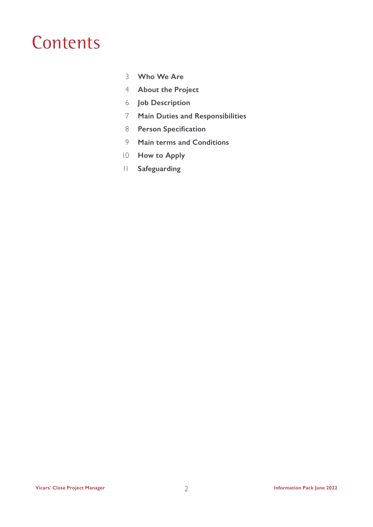# **Contents**

- **Who We Are**
- **About the Project**
- **Job Description**
- **Main Duties and Responsibilities**
- **Person Specification**
- **Main terms and Conditions**
- **How to Apply**
- **Safeguarding**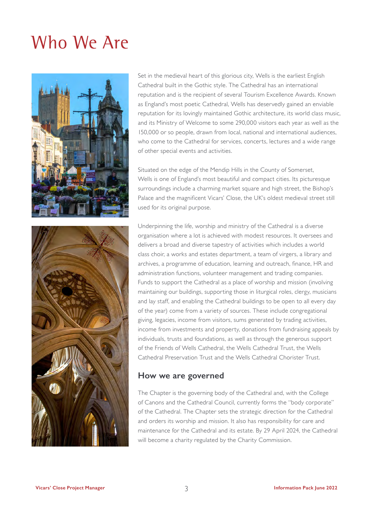# Who We Are





Set in the medieval heart of this glorious city, Wells is the earliest English Cathedral built in the Gothic style. The Cathedral has an international reputation and is the recipient of several Tourism Excellence Awards. Known as England's most poetic Cathedral, Wells has deservedly gained an enviable reputation for its lovingly maintained Gothic architecture, its world class music, and its Ministry of Welcome to some 290,000 visitors each year as well as the 150,000 or so people, drawn from local, national and international audiences, who come to the Cathedral for services, concerts, lectures and a wide range of other special events and activities.

Situated on the edge of the Mendip Hills in the County of Somerset, Wells is one of England's most beautiful and compact cities. Its picturesque surroundings include a charming market square and high street, the Bishop's Palace and the magnificent Vicars' Close, the UK's oldest medieval street still used for its original purpose.

Underpinning the life, worship and ministry of the Cathedral is a diverse organisation where a lot is achieved with modest resources. It oversees and delivers a broad and diverse tapestry of activities which includes a world class choir, a works and estates department, a team of virgers, a library and archives, a programme of education, learning and outreach, finance, HR and administration functions, volunteer management and trading companies. Funds to support the Cathedral as a place of worship and mission (involving maintaining our buildings, supporting those in liturgical roles, clergy, musicians and lay staff, and enabling the Cathedral buildings to be open to all every day of the year) come from a variety of sources. These include congregational giving, legacies, income from visitors, sums generated by trading activities, income from investments and property, donations from fundraising appeals by individuals, trusts and foundations, as well as through the generous support of the Friends of Wells Cathedral, the Wells Cathedral Trust, the Wells Cathedral Preservation Trust and the Wells Cathedral Chorister Trust.

#### **How we are governed**

The Chapter is the governing body of the Cathedral and, with the College of Canons and the Cathedral Council, currently forms the "body corporate" of the Cathedral. The Chapter sets the strategic direction for the Cathedral and orders its worship and mission. It also has responsibility for care and maintenance for the Cathedral and its estate. By 29 April 2024, the Cathedral will become a charity regulated by the Charity Commission.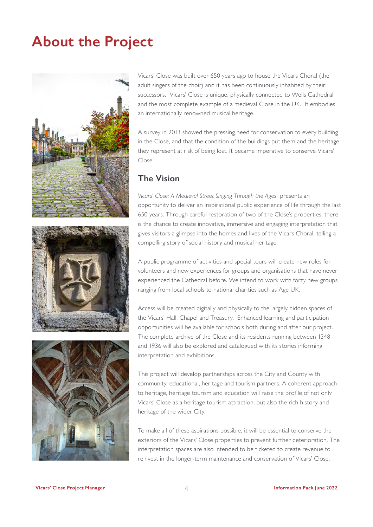### **About the Project**



Vicars' Close was built over 650 years ago to house the Vicars Choral (the adult singers of the choir) and it has been continuously inhabited by their successors. Vicars' Close is unique, physically connected to Wells Cathedral and the most complete example of a medieval Close in the UK. It embodies an internationally renowned musical heritage.

A survey in 2013 showed the pressing need for conservation to every building in the Close, and that the condition of the buildings put them and the heritage they represent at risk of being lost. It became imperative to conserve Vicars' Close.

#### **The Vision**

*Vicars' Close: A Medieval Street Singing Through the Ages* presents an opportunity to deliver an inspirational public experience of life through the last 650 years. Through careful restoration of two of the Close's properties, there is the chance to create innovative, immersive and engaging interpretation that gives visitors a glimpse into the homes and lives of the Vicars Choral, telling a compelling story of social history and musical heritage.

A public programme of activities and special tours will create new roles for volunteers and new experiences for groups and organisations that have never experienced the Cathedral before. We intend to work with forty new groups ranging from local schools to national charities such as Age UK.

Access will be created digitally and physically to the largely hidden spaces of the Vicars' Hall, Chapel and Treasury. Enhanced learning and participation opportunities will be available for schools both during and after our project. The complete archive of the Close and its residents running between 1348 and 1936 will also be explored and catalogued with its stories informing interpretation and exhibitions.

This project will develop partnerships across the City and County with community, educational, heritage and tourism partners. A coherent approach to heritage, heritage tourism and education will raise the profile of not only Vicars' Close as a heritage tourism attraction, but also the rich history and heritage of the wider City.

To make all of these aspirations possible, it will be essential to conserve the exteriors of the Vicars' Close properties to prevent further deterioration. The interpretation spaces are also intended to be ticketed to create revenue to reinvest in the longer-term maintenance and conservation of Vicars' Close.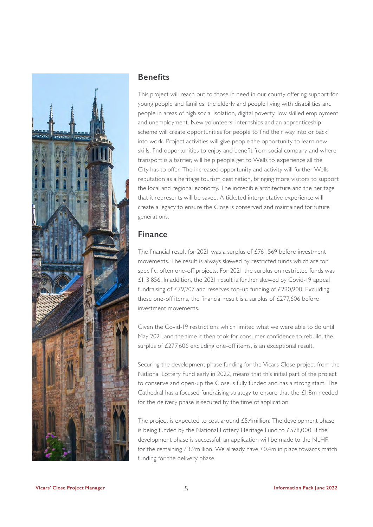

#### **Benefits**

This project will reach out to those in need in our county offering support for young people and families, the elderly and people living with disabilities and people in areas of high social isolation, digital poverty, low skilled employment and unemployment. New volunteers, internships and an apprenticeship scheme will create opportunities for people to find their way into or back into work. Project activities will give people the opportunity to learn new skills, find opportunities to enjoy and benefit from social company and where transport is a barrier, will help people get to Wells to experience all the City has to offer. The increased opportunity and activity will further Wells reputation as a heritage tourism destination, bringing more visitors to support the local and regional economy. The incredible architecture and the heritage that it represents will be saved. A ticketed interpretative experience will create a legacy to ensure the Close is conserved and maintained for future generations.

#### **Finance**

The financial result for 2021 was a surplus of £761,569 before investment movements. The result is always skewed by restricted funds which are for specific, often one-off projects. For 2021 the surplus on restricted funds was £113,856. In addition, the 2021 result is further skewed by Covid-19 appeal fundraising of £79,207 and reserves top-up funding of £290,900. Excluding these one-off items, the financial result is a surplus of  $f277.606$  before investment movements.

Given the Covid-19 restrictions which limited what we were able to do until May 2021 and the time it then took for consumer confidence to rebuild, the surplus of £277,606 excluding one-off items, is an exceptional result.

Securing the development phase funding for the Vicars Close project from the National Lottery Fund early in 2022, means that this initial part of the project to conserve and open-up the Close is fully funded and has a strong start. The Cathedral has a focused fundraising strategy to ensure that the £1.8m needed for the delivery phase is secured by the time of application.

The project is expected to cost around £5.4million. The development phase is being funded by the National Lottery Heritage Fund to £578,000. If the development phase is successful, an application will be made to the NLHF. for the remaining £3.2million. We already have £0.4m in place towards match funding for the delivery phase.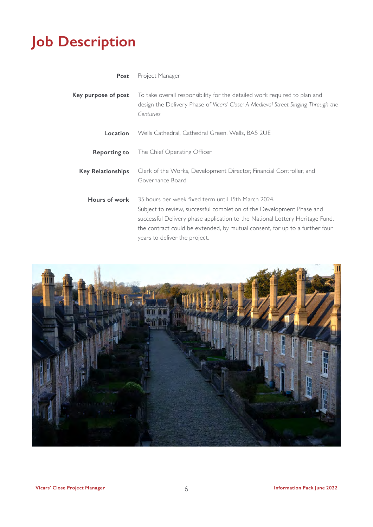## **Job Description**

| Post                     | Project Manager                                                                                                                                                                                                                                                                                                              |
|--------------------------|------------------------------------------------------------------------------------------------------------------------------------------------------------------------------------------------------------------------------------------------------------------------------------------------------------------------------|
| Key purpose of post      | To take overall responsibility for the detailed work required to plan and<br>design the Delivery Phase of Vicars' Close: A Medieval Street Singing Through the<br>Centuries                                                                                                                                                  |
| Location                 | Wells Cathedral, Cathedral Green, Wells, BA5 2UE                                                                                                                                                                                                                                                                             |
| <b>Reporting to</b>      | The Chief Operating Officer                                                                                                                                                                                                                                                                                                  |
| <b>Key Relationships</b> | Clerk of the Works, Development Director, Financial Controller, and<br>Governance Board                                                                                                                                                                                                                                      |
| Hours of work            | 35 hours per week fixed term until 15th March 2024.<br>Subject to review, successful completion of the Development Phase and<br>successful Delivery phase application to the National Lottery Heritage Fund,<br>the contract could be extended, by mutual consent, for up to a further four<br>years to deliver the project. |

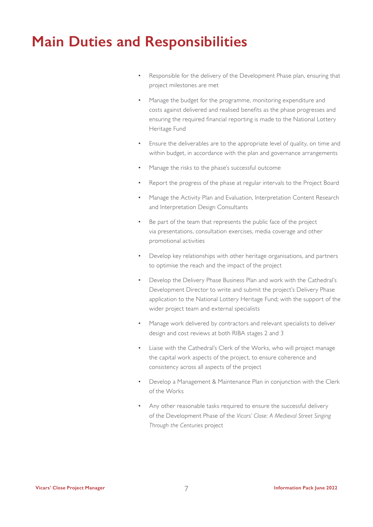### **Main Duties and Responsibilities**

- Responsible for the delivery of the Development Phase plan, ensuring that project milestones are met
- Manage the budget for the programme, monitoring expenditure and costs against delivered and realised benefits as the phase progresses and ensuring the required financial reporting is made to the National Lottery Heritage Fund
- Ensure the deliverables are to the appropriate level of quality, on time and within budget, in accordance with the plan and governance arrangements
- Manage the risks to the phase's successful outcome
- Report the progress of the phase at regular intervals to the Project Board
- Manage the Activity Plan and Evaluation, Interpretation Content Research and Interpretation Design Consultants
- Be part of the team that represents the public face of the project via presentations, consultation exercises, media coverage and other promotional activities
- Develop key relationships with other heritage organisations, and partners to optimise the reach and the impact of the project
- Develop the Delivery Phase Business Plan and work with the Cathedral's Development Director to write and submit the project's Delivery Phase application to the National Lottery Heritage Fund; with the support of the wider project team and external specialists
- Manage work delivered by contractors and relevant specialists to deliver design and cost reviews at both RIBA stages 2 and 3
- Liaise with the Cathedral's Clerk of the Works, who will project manage the capital work aspects of the project, to ensure coherence and consistency across all aspects of the project
- Develop a Management & Maintenance Plan in conjunction with the Clerk of the Works
- Any other reasonable tasks required to ensure the successful delivery of the Development Phase of the *Vicars' Close: A Medieval Street Singing Through the Centuries* project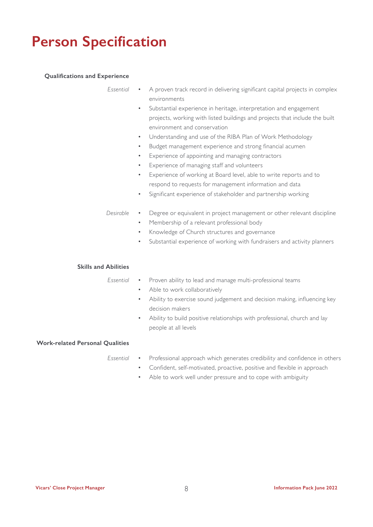### **Person Specification**

#### **Qualifications and Experience**

*Essential*

- A proven track record in delivering significant capital projects in complex environments
	- Substantial experience in heritage, interpretation and engagement projects, working with listed buildings and projects that include the built environment and conservation
	- Understanding and use of the RIBA Plan of Work Methodology
	- Budget management experience and strong financial acumen
	- Experience of appointing and managing contractors
	- Experience of managing staff and volunteers
	- Experience of working at Board level, able to write reports and to respond to requests for management information and data
	- Significant experience of stakeholder and partnership working
- Degree or equivalent in project management or other relevant discipline *Desirable*
	- Membership of a relevant professional body
	- Knowledge of Church structures and governance
	- Substantial experience of working with fundraisers and activity planners

#### **Skills and Abilities**

• Proven ability to lead and manage multi-professional teams *Essential*

- Able to work collaboratively
- Ability to exercise sound judgement and decision making, influencing key decision makers
- Ability to build positive relationships with professional, church and lay people at all levels

#### **Work-related Personal Qualities**

*Essential*

- Professional approach which generates credibility and confidence in others
	- Confident, self-motivated, proactive, positive and flexible in approach
	- Able to work well under pressure and to cope with ambiguity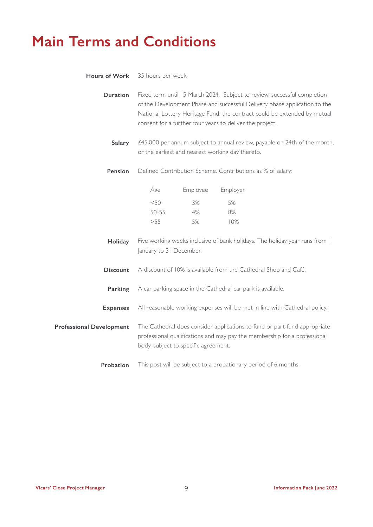## **Main Terms and Conditions**

| <b>Hours of Work</b>            | 35 hours per week                                                                                                                                                                                                                                                                             |          |                                                                             |  |
|---------------------------------|-----------------------------------------------------------------------------------------------------------------------------------------------------------------------------------------------------------------------------------------------------------------------------------------------|----------|-----------------------------------------------------------------------------|--|
| <b>Duration</b>                 | Fixed term until 15 March 2024. Subject to review, successful completion<br>of the Development Phase and successful Delivery phase application to the<br>National Lottery Heritage Fund, the contract could be extended by mutual<br>consent for a further four years to deliver the project. |          |                                                                             |  |
| Salary                          | £45,000 per annum subject to annual review, payable on 24th of the month,<br>or the earliest and nearest working day thereto.                                                                                                                                                                 |          |                                                                             |  |
| Pension                         | Defined Contribution Scheme. Contributions as % of salary:                                                                                                                                                                                                                                    |          |                                                                             |  |
|                                 | Age                                                                                                                                                                                                                                                                                           | Employee | Employer                                                                    |  |
|                                 | $<$ 50                                                                                                                                                                                                                                                                                        | 3%       | 5%                                                                          |  |
|                                 | $50 - 55$                                                                                                                                                                                                                                                                                     | 4%       | 8%                                                                          |  |
|                                 | >55                                                                                                                                                                                                                                                                                           | 5%       | 10%                                                                         |  |
| Holiday                         | January to 31 December.                                                                                                                                                                                                                                                                       |          | Five working weeks inclusive of bank holidays. The holiday year runs from I |  |
| <b>Discount</b>                 | A discount of 10% is available from the Cathedral Shop and Café.                                                                                                                                                                                                                              |          |                                                                             |  |
| Parking                         | A car parking space in the Cathedral car park is available.                                                                                                                                                                                                                                   |          |                                                                             |  |
| <b>Expenses</b>                 | All reasonable working expenses will be met in line with Cathedral policy.                                                                                                                                                                                                                    |          |                                                                             |  |
| <b>Professional Development</b> | The Cathedral does consider applications to fund or part-fund appropriate<br>professional qualifications and may pay the membership for a professional<br>body, subject to specific agreement.                                                                                                |          |                                                                             |  |
| Probation                       |                                                                                                                                                                                                                                                                                               |          | This post will be subject to a probationary period of 6 months.             |  |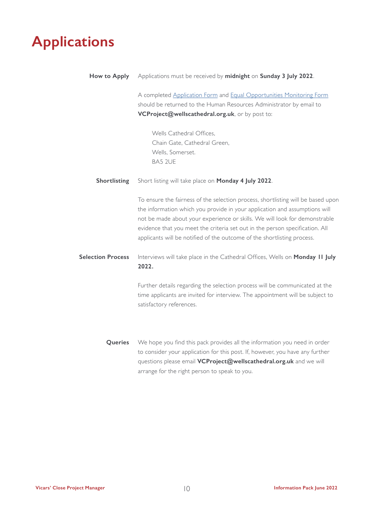## **Applications**

| How to Apply             | Applications must be received by midnight on Sunday 3 July 2022.                                                                                                                                                                                                                                                                                                                                        |
|--------------------------|---------------------------------------------------------------------------------------------------------------------------------------------------------------------------------------------------------------------------------------------------------------------------------------------------------------------------------------------------------------------------------------------------------|
|                          | A completed Application Form and Equal Opportunities Monitoring Form                                                                                                                                                                                                                                                                                                                                    |
|                          | should be returned to the Human Resources Administrator by email to                                                                                                                                                                                                                                                                                                                                     |
|                          | VCProject@wellscathedral.org.uk, or by post to:                                                                                                                                                                                                                                                                                                                                                         |
|                          | Wells Cathedral Offices,                                                                                                                                                                                                                                                                                                                                                                                |
|                          | Chain Gate, Cathedral Green,                                                                                                                                                                                                                                                                                                                                                                            |
|                          | Wells, Somerset.                                                                                                                                                                                                                                                                                                                                                                                        |
|                          | <b>BA5 2UE</b>                                                                                                                                                                                                                                                                                                                                                                                          |
| Shortlisting             | Short listing will take place on Monday 4 July 2022.                                                                                                                                                                                                                                                                                                                                                    |
|                          | To ensure the fairness of the selection process, shortlisting will be based upon<br>the information which you provide in your application and assumptions will<br>not be made about your experience or skills. We will look for demonstrable<br>evidence that you meet the criteria set out in the person specification. All<br>applicants will be notified of the outcome of the shortlisting process. |
| <b>Selection Process</b> | Interviews will take place in the Cathedral Offices, Wells on Monday II July<br>2022.                                                                                                                                                                                                                                                                                                                   |
|                          | Further details regarding the selection process will be communicated at the<br>time applicants are invited for interview. The appointment will be subject to<br>satisfactory references.                                                                                                                                                                                                                |
| Queries                  | We hope you find this pack provides all the information you need in order<br>to consider your application for this post. If, however, you have any further<br>questions please email VCProject@wellscathedral.org.uk and we will<br>arrange for the right person to speak to you.                                                                                                                       |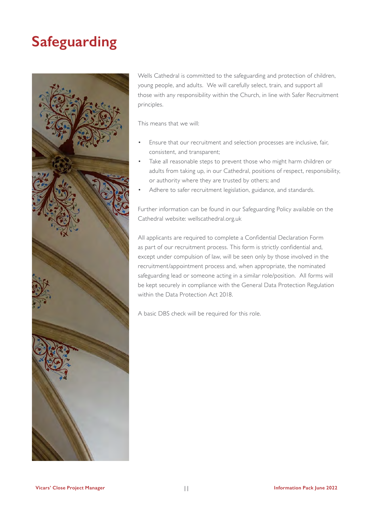## **Safeguarding**



Wells Cathedral is committed to the safeguarding and protection of children, young people, and adults. We will carefully select, train, and support all those with any responsibility within the Church, in line with Safer Recruitment principles.

This means that we will:

- Ensure that our recruitment and selection processes are inclusive, fair, consistent, and transparent;
- Take all reasonable steps to prevent those who might harm children or adults from taking up, in our Cathedral, positions of respect, responsibility, or authority where they are trusted by others; and
- Adhere to safer recruitment legislation, guidance, and standards.

Further information can be found in our Safeguarding Policy available on the Cathedral website: wellscathedral.org.uk

All applicants are required to complete a Confidential Declaration Form as part of our recruitment process. This form is strictly confidential and, except under compulsion of law, will be seen only by those involved in the recruitment/appointment process and, when appropriate, the nominated safeguarding lead or someone acting in a similar role/position. All forms will be kept securely in compliance with the General Data Protection Regulation within the Data Protection Act 2018.

A basic DBS check will be required for this role.